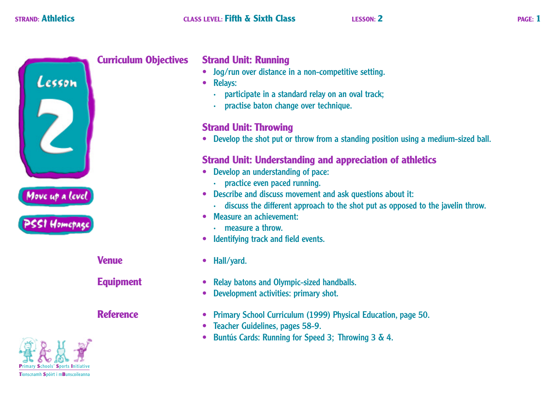

## **Curriculum Objectives Strand Unit: Running**

- **•** Jog/run over distance in a non-competitive setting.
- **•** Relays:
	- · participate in a standard relay on an oval track;
	- · practise baton change over technique.

## **Strand Unit: Throwing**

**•** Develop the shot put or throw from a standing position using a medium-sized ball.

## **Strand Unit: Understanding and appreciation of athletics**

- **•** Develop an understanding of pace:
	- · practice even paced running.
- **•** Describe and discuss movement and ask questions about it:
	- · discuss the different approach to the shot put as opposed to the javelin throw.
- **•** Measure an achievement:
	- · measure a throw.
- **•** Identifying track and field events.
- **Venue •** Hall/yard.
- **Equipment** Relay batons and Olympic-sized handballs.
	- **•** Development activities: primary shot.
- **Reference** Primary School Curriculum (1999) Physical Education, page 50.
	- **•** Teacher Guidelines, pages 58-9.
	- **•** Buntús Cards: Running for Speed 3; Throwing 3 & 4.

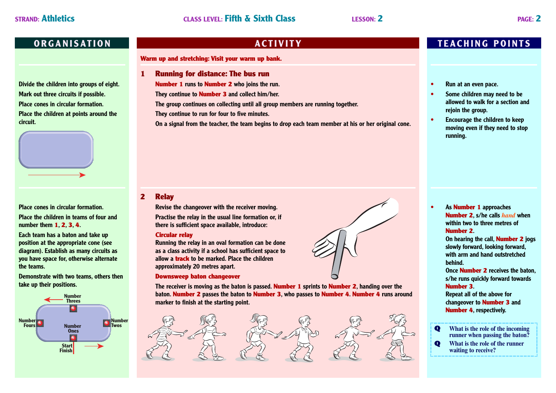**Divide the children into groups of eight. Mark out three circuits if possible. Place cones in circular formation. Place the children at points around the circuit.**



### **Place cones in circular formation.**

**Place the children in teams of four and number them 1, 2, 3, 4.**

**Each team has a baton and take up position at the appropriate cone (see diagram). Establish as many circuits as you have space for, otherwise alternate the teams.**

**Demonstrate with two teams, others then take up their positions.**



**Warm up and stretching: Visit your warm up bank.**

**1 Running for distance: The bus run**

**Number 1 runs to Number 2 who joins the run.**

**They continue to Number 3 and collect him/her.**

**The group continues on collecting until all group members are running together.**

**They continue to run for four to five minutes.**

**On a signal from the teacher, the team begins to drop each team member at his or her original cone.**

## **2 Relay**

**Revise the changeover with the receiver moving.**

**Practise the relay in the usual line formation or, if there is sufficient space available, introduce:**

### **Circular relay**

**Running the relay in an oval formation can be done as a class activity if a school has sufficient space to allow a track to be marked. Place the children approximately 20 metres apart.**

### **Downsweep baton changeover**



### **The receiver is moving as the baton is passed. Number 1 sprints to Number 2, handing over the baton. Number 2 passes the baton to Number 3, who passes to Number 4. Number 4 runs around marker to finish at the starting point.**



## **ORGANISATION ACTIVITY TEACHING POINTS**

- **• Run at an even pace.**
- **• Some children may need to be allowed to walk for a section and rejoin the group.**
- **• Encourage the children to keep moving even if they need to stop running.**

## **• As Number 1 approaches Number 2, s/he calls** *hand* **when within two to three metres of Number 2.**

**On hearing the call, Number 2 jogs slowly forward, looking forward, with arm and hand outstretched behind.**

**Once Number 2 receives the baton, s/he runs quickly forward towards Number 3.**

**Repeat all of the above for changeover to Number 3 and Number 4, respectively.**

- **Q What is the role of the incoming runner when passing the baton?**
- **Q What is the role of the runner waiting to receive?**